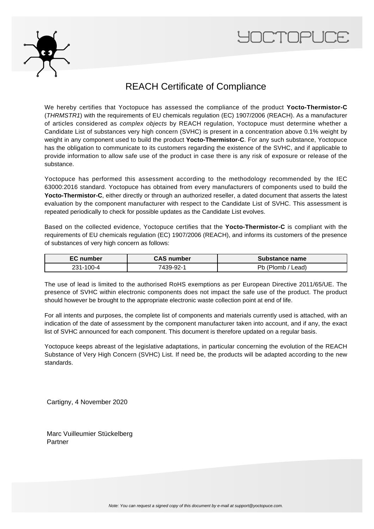



## REACH Certificate of Compliance

We hereby certifies that Yoctopuce has assessed the compliance of the product **Yocto-Thermistor-C** (THRMSTR1) with the requirements of EU chemicals regulation (EC) 1907/2006 (REACH). As a manufacturer of articles considered as complex objects by REACH regulation, Yoctopuce must determine whether a Candidate List of substances very high concern (SVHC) is present in a concentration above 0.1% weight by weight in any component used to build the product **Yocto-Thermistor-C**. For any such substance, Yoctopuce has the obligation to communicate to its customers regarding the existence of the SVHC, and if applicable to provide information to allow safe use of the product in case there is any risk of exposure or release of the substance.

Yoctopuce has performed this assessment according to the methodology recommended by the IEC 63000:2016 standard. Yoctopuce has obtained from every manufacturers of components used to build the **Yocto-Thermistor-C**, either directly or through an authorized reseller, a dated document that asserts the latest evaluation by the component manufacturer with respect to the Candidate List of SVHC. This assessment is repeated periodically to check for possible updates as the Candidate List evolves.

Based on the collected evidence, Yoctopuce certifies that the **Yocto-Thermistor-C** is compliant with the requirements of EU chemicals regulation (EC) 1907/2006 (REACH), and informs its customers of the presence of substances of very high concern as follows:

| <b>EC</b> number | <b>CAS number</b> | Substance name  |
|------------------|-------------------|-----------------|
| 231-100-4        | 7439-92-1         | _ead).<br>'lomb |

The use of lead is limited to the authorised RoHS exemptions as per European Directive 2011/65/UE. The presence of SVHC within electronic components does not impact the safe use of the product. The product should however be brought to the appropriate electronic waste collection point at end of life.

For all intents and purposes, the complete list of components and materials currently used is attached, with an indication of the date of assessment by the component manufacturer taken into account, and if any, the exact list of SVHC announced for each component. This document is therefore updated on a regular basis.

Yoctopuce keeps abreast of the legislative adaptations, in particular concerning the evolution of the REACH Substance of Very High Concern (SVHC) List. If need be, the products will be adapted according to the new standards.

Cartigny, 4 November 2020

Marc Vuilleumier Stückelberg Partner